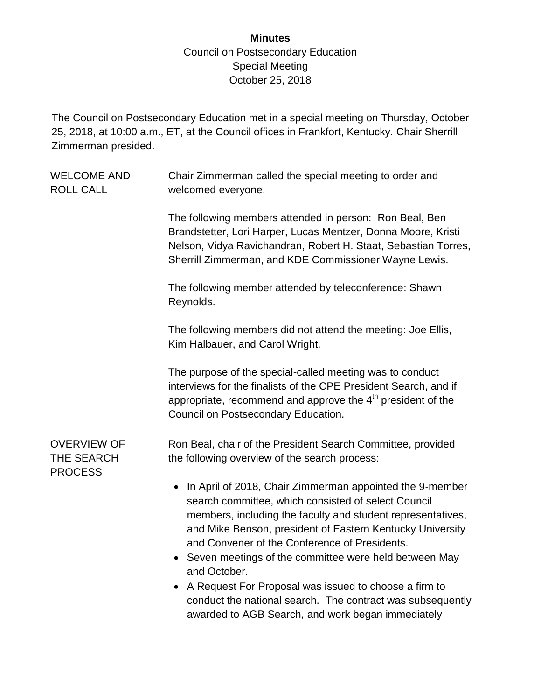## **Minutes** Council on Postsecondary Education Special Meeting October 25, 2018

The Council on Postsecondary Education met in a special meeting on Thursday, October 25, 2018, at 10:00 a.m., ET, at the Council offices in Frankfort, Kentucky. Chair Sherrill Zimmerman presided.

WELCOME AND ROLL CALL Chair Zimmerman called the special meeting to order and welcomed everyone. The following members attended in person: Ron Beal, Ben Brandstetter, Lori Harper, Lucas Mentzer, Donna Moore, Kristi Nelson, Vidya Ravichandran, Robert H. Staat, Sebastian Torres, Sherrill Zimmerman, and KDE Commissioner Wayne Lewis. The following member attended by teleconference: Shawn Reynolds. The following members did not attend the meeting: Joe Ellis, Kim Halbauer, and Carol Wright. The purpose of the special-called meeting was to conduct interviews for the finalists of the CPE President Search, and if appropriate, recommend and approve the  $4<sup>th</sup>$  president of the Council on Postsecondary Education. OVERVIEW OF THE SEARCH PROCESS Ron Beal, chair of the President Search Committee, provided the following overview of the search process: • In April of 2018, Chair Zimmerman appointed the 9-member search committee, which consisted of select Council members, including the faculty and student representatives, and Mike Benson, president of Eastern Kentucky University and Convener of the Conference of Presidents. • Seven meetings of the committee were held between May and October. A Request For Proposal was issued to choose a firm to conduct the national search. The contract was subsequently awarded to AGB Search, and work began immediately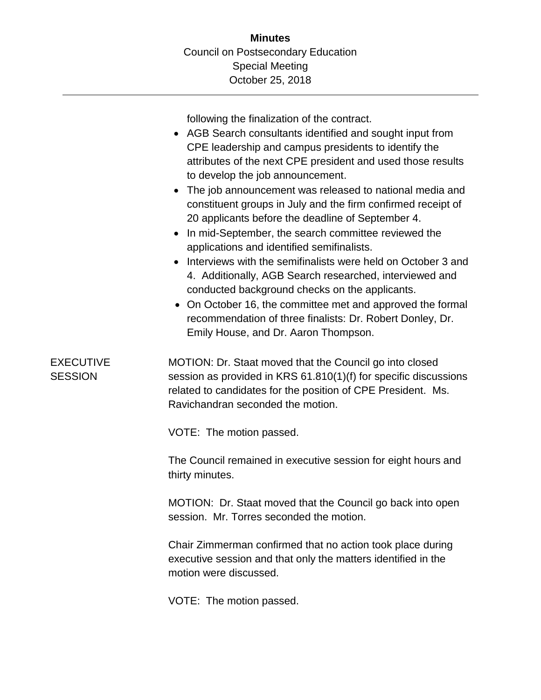following the finalization of the contract.

- AGB Search consultants identified and sought input from CPE leadership and campus presidents to identify the attributes of the next CPE president and used those results to develop the job announcement.
- The job announcement was released to national media and constituent groups in July and the firm confirmed receipt of 20 applicants before the deadline of September 4.
- In mid-September, the search committee reviewed the applications and identified semifinalists.
- Interviews with the semifinalists were held on October 3 and 4. Additionally, AGB Search researched, interviewed and conducted background checks on the applicants.
- On October 16, the committee met and approved the formal recommendation of three finalists: Dr. Robert Donley, Dr. Emily House, and Dr. Aaron Thompson.

EXECUTIVE **SESSION** MOTION: Dr. Staat moved that the Council go into closed session as provided in KRS 61.810(1)(f) for specific discussions related to candidates for the position of CPE President. Ms. Ravichandran seconded the motion.

VOTE: The motion passed.

The Council remained in executive session for eight hours and thirty minutes.

MOTION: Dr. Staat moved that the Council go back into open session. Mr. Torres seconded the motion.

Chair Zimmerman confirmed that no action took place during executive session and that only the matters identified in the motion were discussed.

VOTE: The motion passed.